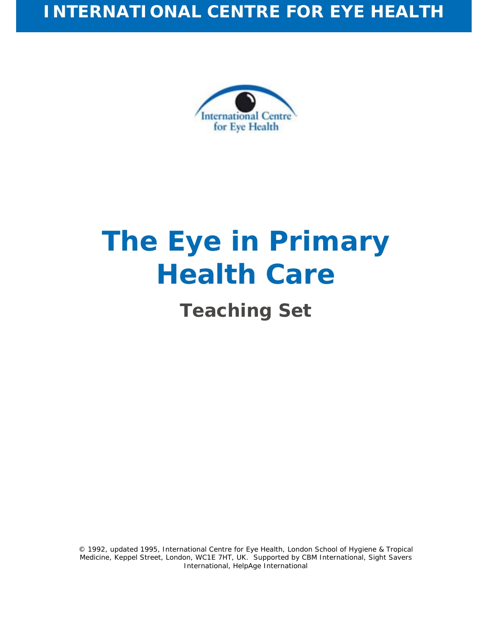

# **The Eye in Primary Health Care**

## **Teaching Set**

© 1992, updated 1995, International Centre for Eye Health, London School of Hygiene & Tropical Medicine, Keppel Street, London, WC1E 7HT, UK. Supported by CBM International, Sight Savers International, HelpAge International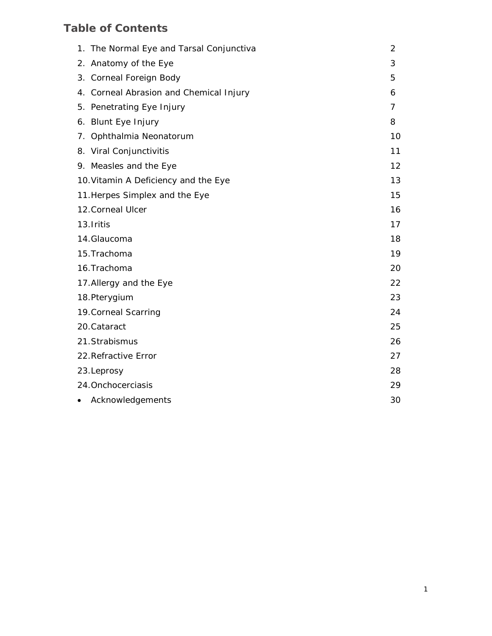## **Table of Contents**

|                         | 1. The Normal Eye and Tarsal Conjunctiva | $\overline{2}$ |
|-------------------------|------------------------------------------|----------------|
|                         | 2. Anatomy of the Eye                    | 3              |
|                         | 3. Corneal Foreign Body                  | 5              |
|                         | 4. Corneal Abrasion and Chemical Injury  | 6              |
|                         | 5. Penetrating Eye Injury                | 7              |
|                         | 6. Blunt Eye Injury                      | 8              |
|                         | 7. Ophthalmia Neonatorum                 | 10             |
|                         | 8. Viral Conjunctivitis                  | 11             |
|                         | 9. Measles and the Eye                   | 12             |
|                         | 10. Vitamin A Deficiency and the Eye     | 13             |
|                         | 11. Herpes Simplex and the Eye           | 15             |
| 12. Corneal Ulcer       |                                          | 16             |
|                         | 13. Iritis                               | 17             |
|                         | 14.Glaucoma                              | 18             |
|                         | 15. Trachoma                             | 19             |
|                         | 16. Trachoma                             | 20             |
| 17. Allergy and the Eye |                                          | 22             |
|                         | 18. Pterygium                            | 23             |
|                         | 19. Corneal Scarring                     | 24             |
|                         | 20. Cataract                             | 25             |
|                         | 21. Strabismus                           | 26             |
|                         | 22. Refractive Error                     | 27             |
|                         | 23.Leprosy                               | 28             |
|                         | 24. Onchocerciasis                       |                |
|                         | Acknowledgements                         | 30             |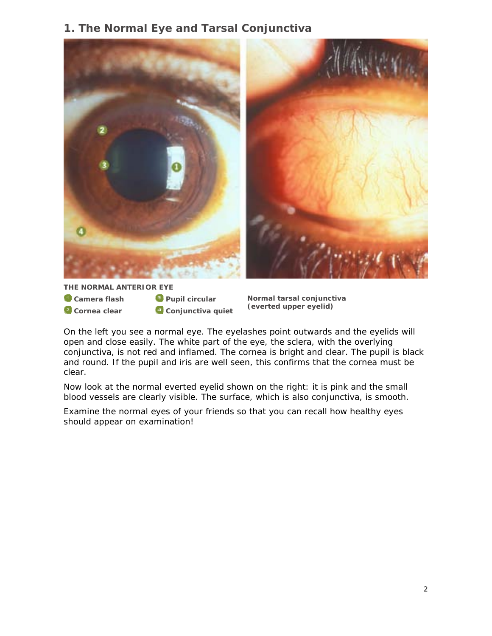## **1. The Normal Eye and Tarsal Conjunctiva**



**THE NORMAL ANTERIOR EYE** 

- **Camera flash**
- *Cornea clear*
- *<u>Pupil circular</u> Conjunctiva quiet*

**Normal tarsal conjunctiva (everted upper eyelid)** 

On the left you see a normal eye. The eyelashes point outwards and the eyelids will open and close easily. The white part of the eye, the sclera, with the overlying conjunctiva, is not red and inflamed. The cornea is bright and clear. The pupil is black and round. If the pupil and iris are well seen, this confirms that the cornea must be clear.

Now look at the normal everted eyelid shown on the right: it is pink and the small blood vessels are clearly visible. The surface, which is also conjunctiva, is smooth.

Examine the normal eyes of your friends so that you can recall how healthy eyes should appear on examination!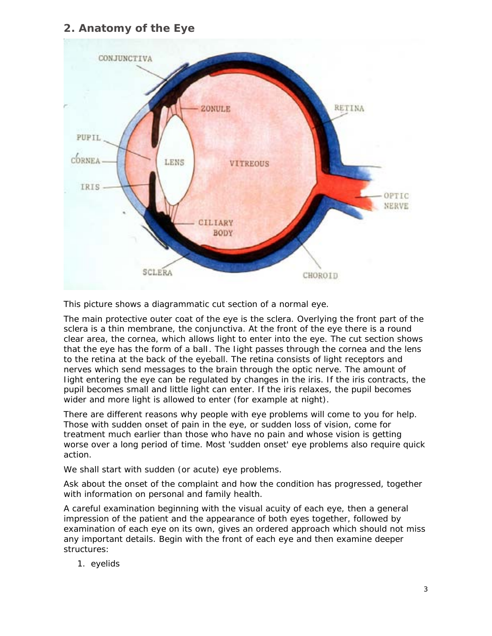## **2. Anatomy of the Eye**



This picture shows a diagrammatic cut section of a normal eye.

The main protective outer coat of the eye is the sclera. Overlying the front part of the sclera is a thin membrane, the conjunctiva. At the front of the eye there is a round clear area, the cornea, which allows light to enter into the eye. The cut section shows that the eye has the form of a balI. The Iight passes through the cornea and the lens to the retina at the back of the eyeball. The retina consists of light receptors and nerves which send messages to the brain through the optic nerve. The amount of Iight entering the eye can be regulated by changes in the iris. If the iris contracts, the pupil becomes small and little light can enter. If the iris relaxes, the pupil becomes wider and more light is allowed to enter (for example at night).

There are different reasons why people with eye problems will come to you for help. Those with sudden onset of pain in the eye, or sudden loss of vision, come for treatment much earlier than those who have no pain and whose vision is getting worse over a long period of time. Most 'sudden onset' eye problems also require quick action.

We shall start with sudden (or acute) eye problems.

Ask about the onset of the complaint and how the condition has progressed, together with information on personal and family health.

A careful examination beginning with the visual acuity of each eye, then a general impression of the patient and the appearance of both eyes together, followed by examination of each eye on its own, gives an ordered approach which should not miss any important details. Begin with the front of each eye and then examine deeper structures:

1. eyelids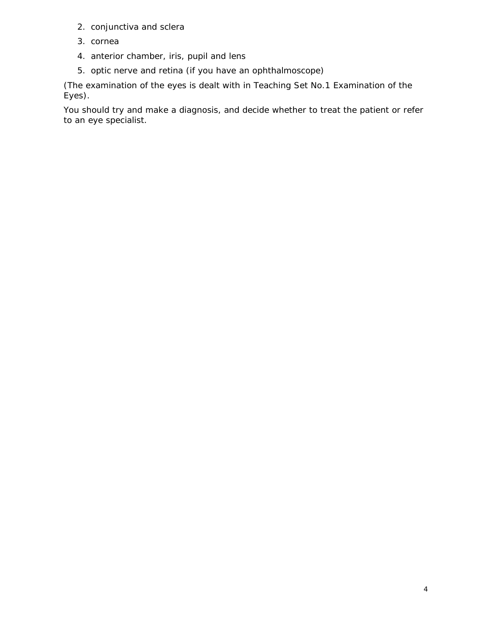- 2. conjunctiva and sclera
- 3. cornea
- 4. anterior chamber, iris, pupil and lens
- 5. optic nerve and retina (if you have an ophthalmoscope)

(The examination of the eyes is dealt with in Teaching Set No.1 Examination of the Eyes).

You should try and make a diagnosis, and decide whether to treat the patient or refer to an eye specialist.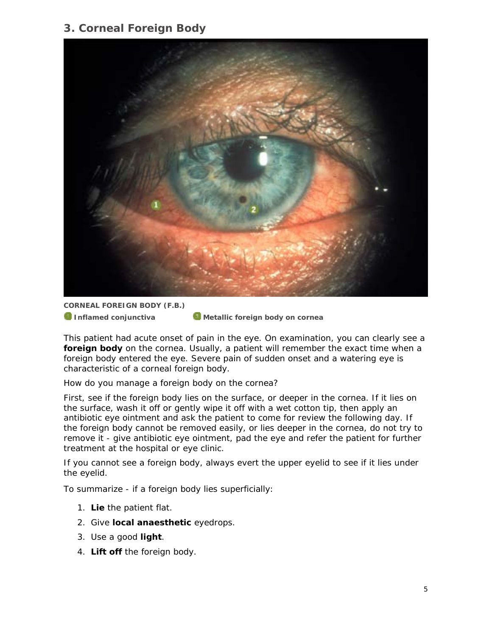## **3. Corneal Foreign Body**



**CORNEAL FOREIGN BODY (F.B.)** 

**1** Inflamed conjunctiva **Metallic foreign body on cornea** 

This patient had acute onset of pain in the eye. On examination, you can clearly see a **foreign body** on the cornea. Usually, a patient will remember the exact time when a foreign body entered the eye. Severe pain of sudden onset and a watering eye is characteristic of a corneal foreign body.

#### *How do you manage a foreign body on the cornea?*

First, see if the foreign body lies on the surface, or deeper in the cornea. If it lies on the surface, wash it off or gently wipe it off with a wet cotton tip, then apply an antibiotic eye ointment and ask the patient to come for review the following day. If the foreign body cannot be removed easily, or lies deeper in the cornea, do not try to remove it - give antibiotic eye ointment, pad the eye and refer the patient for further treatment at the hospital or eye clinic.

If you cannot see a foreign body, always evert the upper eyelid to see if it lies under the eyelid.

To summarize - if a foreign body lies superficially:

- 1. **Lie** the patient flat.
- 2. Give **local anaesthetic** eyedrops.
- 3. Use a good **light**.
- 4. **Lift off** the foreign body.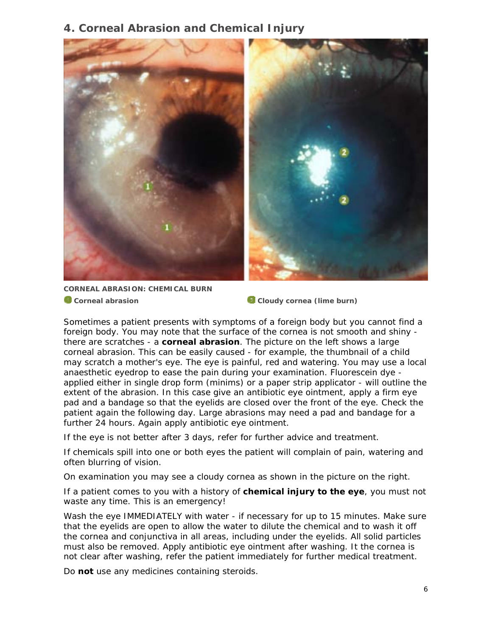### **4. Corneal Abrasion and Chemical Injury**



**CORNEAL ABRASION: CHEMICAL BURN a** Corneal abrasion **Cornea (lime burn) Cloudy cornea (lime burn)** 

Sometimes a patient presents with symptoms of a foreign body but you cannot find a foreign body. You may note that the surface of the cornea is not smooth and shiny there are scratches - a **corneal abrasion**. The picture on the left shows a large corneal abrasion. This can be easily caused - for example, the thumbnail of a child may scratch a mother's eye. The eye is painful, red and watering. You may use a local anaesthetic eyedrop to ease the pain during your examination. Fluorescein dye applied either in single drop form (minims) or a paper strip applicator - will outline the extent of the abrasion. In this case give an antibiotic eye ointment, apply a firm eye pad and a bandage so that the eyelids are closed over the front of the eye. Check the patient again the following day. Large abrasions may need a pad and bandage for a further 24 hours. Again apply antibiotic eye ointment.

If the eye is not better after 3 days, refer for further advice and treatment.

If chemicals spill into one or both eyes the patient will complain of pain, watering and often blurring of vision.

On examination you may see a cloudy cornea as shown in the picture on the right.

If a patient comes to you with a history of **chemical injury to the eye**, you must not waste any time. This is an emergency!

Wash the eye IMMEDIATELY with water - if necessary for up to 15 minutes. Make sure that the eyelids are open to allow the water to dilute the chemical and to wash it off the cornea and conjunctiva in all areas, including under the eyelids. All solid particles must also be removed. Apply antibiotic eye ointment after washing. It the cornea is not clear after washing, refer the patient immediately for further medical treatment.

Do **not** use any medicines containing steroids.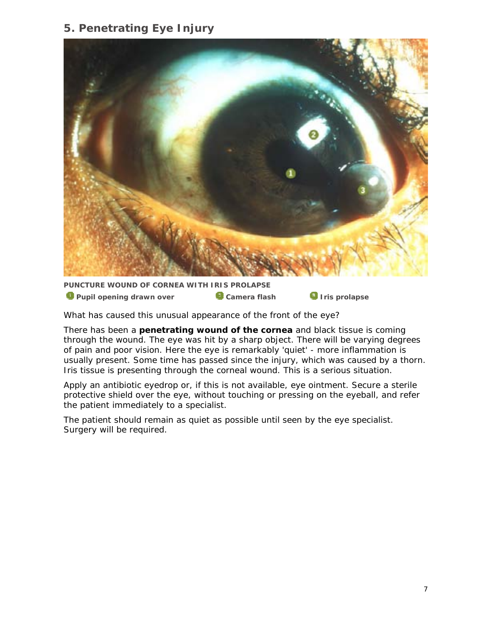## **5. Penetrating Eye Injury**



**PUNCTURE WOUND OF CORNEA WITH IRIS PROLAPSE O** Pupil opening drawn over **C** Camera flash **III** Iris prolapse

*What has caused this unusual appearance of the front of the eye?* 

There has been a **penetrating wound of the cornea** and black tissue is coming through the wound. The eye was hit by a sharp object. There will be varying degrees of pain and poor vision. Here the eye is remarkably 'quiet' - more inflammation is usually present. Some time has passed since the injury, which was caused by a thorn. Iris tissue is presenting through the corneal wound. This is a serious situation.

Apply an antibiotic eyedrop or, if this is not available, eye ointment. Secure a sterile protective shield over the eye, without touching or pressing on the eyeball, and refer the patient immediately to a specialist.

The patient should remain as quiet as possible until seen by the eye specialist. Surgery will be required.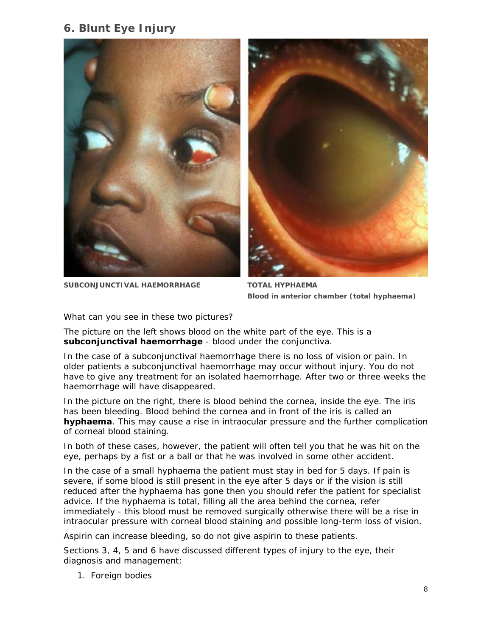## **6. Blunt Eye Injury**







**Blood in anterior chamber (total hyphaema)** 

#### *What can you see in these two pictures?*

The picture on the left shows blood on the white part of the eye. This is a **subconjunctival haemorrhage** - blood under the conjunctiva.

In the case of a subconjunctival haemorrhage there is no loss of vision or pain. In older patients a subconjunctival haemorrhage may occur without injury. You do not have to give any treatment for an isolated haemorrhage. After two or three weeks the haemorrhage will have disappeared.

In the picture on the right, there is blood behind the cornea, inside the eye. The iris has been bleeding. Blood behind the cornea and in front of the iris is called an **hyphaema**. This may cause a rise in intraocular pressure and the further complication of corneal blood staining.

In both of these cases, however, the patient will often tell you that he was hit on the eye, perhaps by a fist or a ball or that he was involved in some other accident.

In the case of a small hyphaema the patient must stay in bed for 5 days. If pain is severe, if some blood is still present in the eye after 5 days or if the vision is still reduced after the hyphaema has gone then you should refer the patient for specialist advice. If the hyphaema is total, filling all the area behind the cornea, refer immediately - this blood must be removed surgically otherwise there will be a rise in intraocular pressure with corneal blood staining and possible long-term loss of vision.

Aspirin can increase bleeding, so do not give aspirin to these patients.

Sections 3, 4, 5 and 6 have discussed different types of injury to the eye, their diagnosis and management:

1. Foreign bodies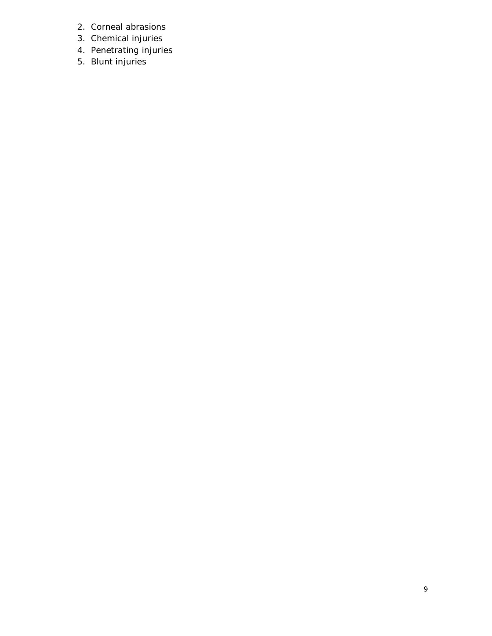- 2. Corneal abrasions
- 3. Chemical injuries
- 4. Penetrating injuries
- 5. Blunt injuries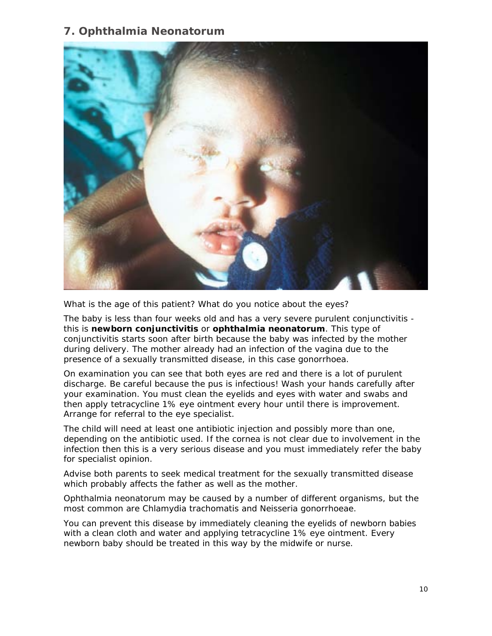## **7. Ophthalmia Neonatorum**



*What is the age of this patient? What do you notice about the eyes?* 

The baby is less than four weeks old and has a very severe purulent conjunctivitis this is **newborn conjunctivitis** or **ophthalmia neonatorum**. This type of conjunctivitis starts soon after birth because the baby was infected by the mother during delivery. The mother already had an infection of the vagina due to the presence of a sexually transmitted disease, in this case gonorrhoea.

On examination you can see that both eyes are red and there is a lot of purulent discharge. Be careful because the pus is infectious! Wash your hands carefully after your examination. You must clean the eyelids and eyes with water and swabs and then apply tetracycline 1% eye ointment every hour until there is improvement. Arrange for referral to the eye specialist.

The child will need at least one antibiotic injection and possibly more than one, depending on the antibiotic used. If the cornea is not clear due to involvement in the infection then this is a very serious disease and you must immediately refer the baby for specialist opinion.

Advise both parents to seek medical treatment for the sexually transmitted disease which probably affects the father as well as the mother.

Ophthalmia neonatorum may be caused by a number of different organisms, but the most common are *Chlamydia trachomatis* and *Neisseria gonorrhoeae*.

You can prevent this disease by immediately cleaning the eyelids of newborn babies with a clean cloth and water and applying tetracycline 1% eye ointment. Every newborn baby should be treated in this way by the midwife or nurse.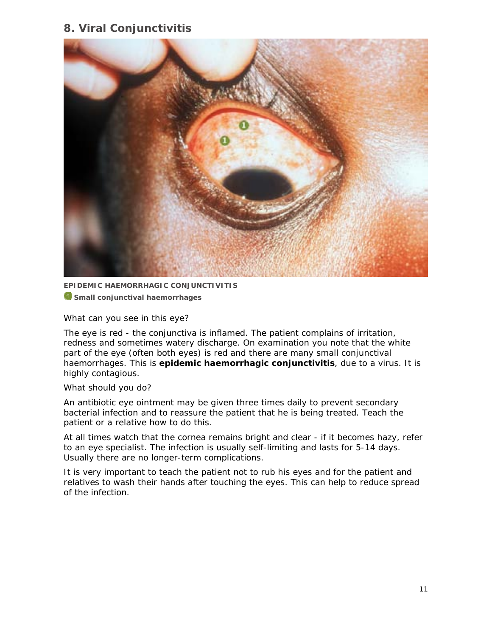## **8. Viral Conjunctivitis**



**EPIDEMIC HAEMORRHAGIC CONJUNCTIVITIS** 

**C** Small conjunctival haemorrhages

#### *What can you see in this eye?*

The eye is red - the conjunctiva is inflamed. The patient complains of irritation, redness and sometimes watery discharge. On examination you note that the white part of the eye (often both eyes) is red and there are many small conjunctival haemorrhages. This is **epidemic haemorrhagic conjunctivitis**, due to a virus. It is highly contagious.

#### *What should you do?*

An antibiotic eye ointment may be given three times daily to prevent secondary bacterial infection and to reassure the patient that he is being treated. Teach the patient or a relative how to do this.

At all times watch that the cornea remains bright and clear - if it becomes hazy, refer to an eye specialist. The infection is usually self-limiting and lasts for 5-14 days. Usually there are no longer-term complications.

It is very important to teach the patient not to rub his eyes and for the patient and relatives to wash their hands after touching the eyes. This can help to reduce spread of the infection.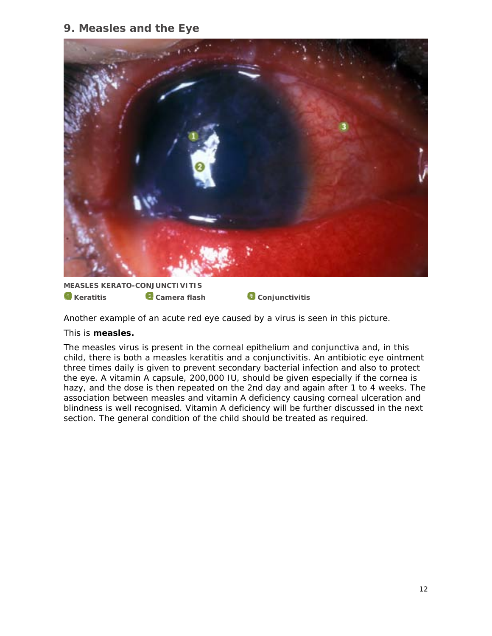## **9. Measles and the Eye**



**MEASLES KERATO-CONJUNCTIVITIS C** Keratitis **C** Camera flash Conjunctivitis

Another example of an acute red eye caused by a virus is seen in this picture.

#### This is **measles.**

The measles virus is present in the corneal epithelium and conjunctiva and, in this child, there is both a measles keratitis and a conjunctivitis. An antibiotic eye ointment three times daily is given to prevent secondary bacterial infection and also to protect the eye. A vitamin A capsule, 200,000 IU, should be given especially if the cornea is hazy, and the dose is then repeated on the 2nd day and again after 1 to 4 weeks. The association between measles and vitamin A deficiency causing corneal ulceration and blindness is well recognised. Vitamin A deficiency will be further discussed in the next section. The general condition of the child should be treated as required.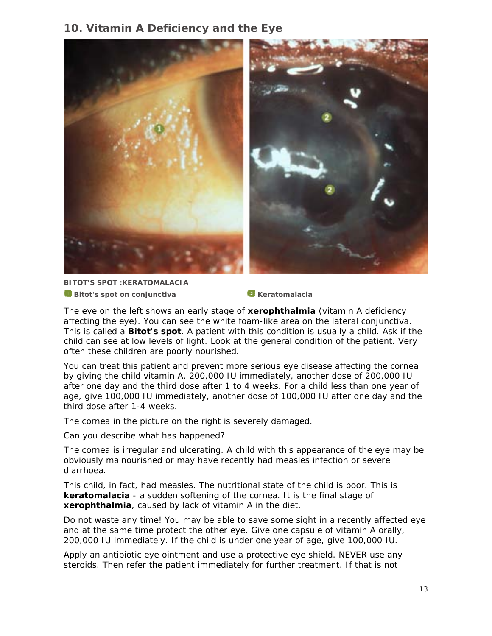## **10. Vitamin A Deficiency and the Eye**



**BITOT'S SPOT :KERATOMALACIA Bitot's spot on conjunctiva** Keratomalacia

The eye on the left shows an early stage of **xerophthalmia** (vitamin A deficiency affecting the eye). You can see the white foam-like area on the lateral conjunctiva. This is called a **Bitot's spot**. A patient with this condition is usually a child. Ask if the child can see at low levels of light. Look at the general condition of the patient. Very often these children are poorly nourished.

You can treat this patient and prevent more serious eye disease affecting the cornea by giving the child vitamin A, 200,000 IU immediately, another dose of 200,000 IU after one day and the third dose after 1 to 4 weeks. For a child less than one year of age, give 100,000 IU immediately, another dose of 100,000 IU after one day and the third dose after 1-4 weeks.

The cornea in the picture on the right is severely damaged.

*Can you describe what has happened?* 

The cornea is irregular and ulcerating. A child with this appearance of the eye may be obviously malnourished or may have recently had measles infection or severe diarrhoea.

This child, in fact, had measles. The nutritional state of the child is poor. This is **keratomalacia** - a sudden softening of the cornea. It is the final stage of **xerophthalmia**, caused by lack of vitamin A in the diet.

Do not waste any time! You may be able to save some sight in a recently affected eye and at the same time protect the other eye. Give one capsule of vitamin A orally, 200,000 IU immediately. If the child is under one year of age, give 100,000 IU.

Apply an antibiotic eye ointment and use a protective eye shield. NEVER use any steroids. Then refer the patient immediately for further treatment. If that is not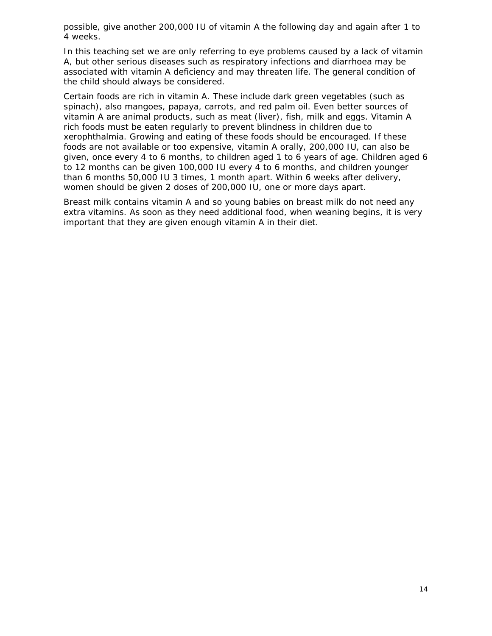possible, give another 200,000 IU of vitamin A the following day and again after 1 to 4 weeks.

In this teaching set we are only referring to eye problems caused by a lack of vitamin A, but other serious diseases such as respiratory infections and diarrhoea may be associated with vitamin A deficiency and may threaten life. The general condition of the child should always be considered.

Certain foods are rich in vitamin A. These include dark green vegetables (such as spinach), also mangoes, papaya, carrots, and red palm oil. Even better sources of vitamin A are animal products, such as meat (liver), fish, milk and eggs. Vitamin A rich foods must be eaten regularly to prevent blindness in children due to xerophthalmia. Growing and eating of these foods should be encouraged. If these foods are not available or too expensive, vitamin A orally, 200,000 IU, can also be given, once every 4 to 6 months, to children aged 1 to 6 years of age. Children aged 6 to 12 months can be given 100,000 IU every 4 to 6 months, and children younger than 6 months 50,000 IU 3 times, 1 month apart. Within 6 weeks after delivery, women should be given 2 doses of 200,000 IU, one or more days apart.

Breast milk contains vitamin A and so young babies on breast milk do not need any extra vitamins. As soon as they need additional food, when weaning begins, it is very important that they are given enough vitamin A in their diet.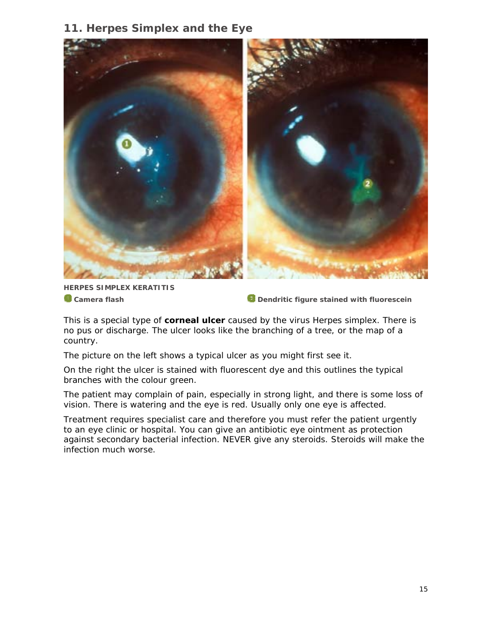## **11. Herpes Simplex and the Eye**



**HERPES SIMPLEX KERATITIS** 

**C** Camera flash **Dendritic figure stained with fluorescein** 

This is a special type of **corneal ulcer** caused by the virus *Herpes simplex*. There is no pus or discharge. The ulcer looks like the branching of a tree, or the map of a country.

The picture on the left shows a typical ulcer as you might first see it.

On the right the ulcer is stained with fluorescent dye and this outlines the typical branches with the colour green.

The patient may complain of pain, especially in strong light, and there is some loss of vision. There is watering and the eye is red. Usually only one eye is affected.

Treatment requires specialist care and therefore you must refer the patient urgently to an eye clinic or hospital. You can give an antibiotic eye ointment as protection against secondary bacterial infection. NEVER give any steroids. Steroids will make the infection much worse.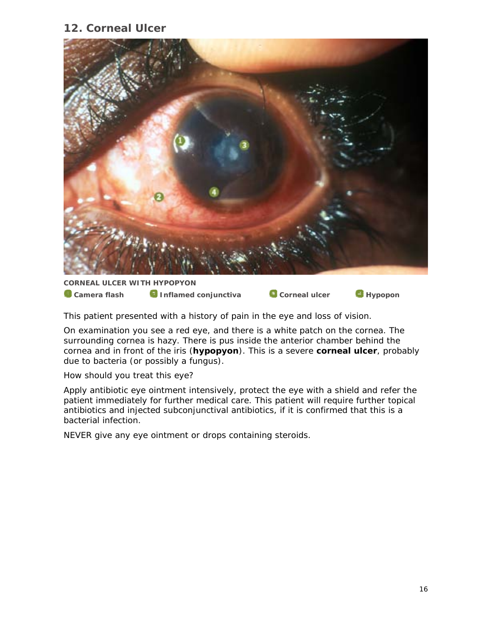## **12. Corneal Ulcer**



#### **CORNEAL ULCER WITH HYPOPYON**

**Camera flash Camera Conjunctiva Corneal ulcer** Corneal UP Hypopon

This patient presented with a history of pain in the eye and loss of vision.

On examination you see a red eye, and there is a white patch on the cornea. The surrounding cornea is hazy. There is pus inside the anterior chamber behind the cornea and in front of the iris (**hypopyon**). This is a severe **corneal ulcer**, probably due to bacteria (or possibly a fungus).

#### *How should you treat this eye?*

Apply antibiotic eye ointment intensively, protect the eye with a shield and refer the patient immediately for further medical care. This patient will require further topical antibiotics and injected subconjunctival antibiotics, if it is confirmed that this is a bacterial infection.

NEVER give any eye ointment or drops containing steroids.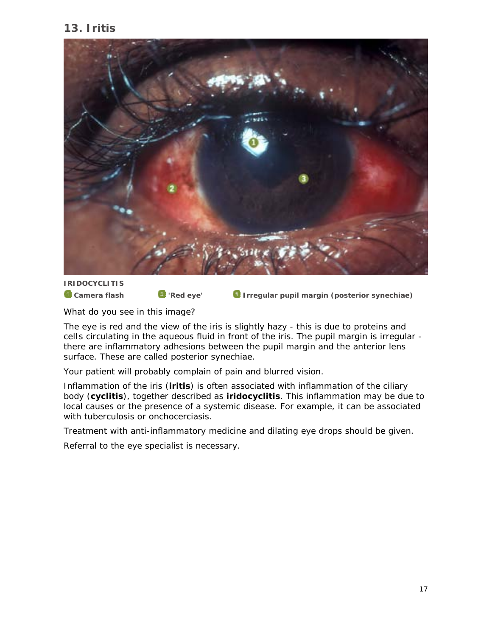## **13. Iritis**



**IRIDOCYCLITIS** 

**Camera flash C** 'Red eye' **I** Irregular pupil margin (posterior synechiae)

#### *What do you see in this image?*

The eye is red and the view of the iris is slightly hazy - this is due to proteins and celIs circulating in the aqueous fluid in front of the iris. The pupil margin is irregular there are inflammatory adhesions between the pupil margin and the anterior lens surface. These are called posterior synechiae.

Your patient will probably complain of pain and blurred vision.

Inflammation of the iris (**iritis**) is often associated with inflammation of the ciliary body (**cyclitis**), together described as **iridocyclitis**. This inflammation may be due to local causes or the presence of a systemic disease. For example, it can be associated with tuberculosis or onchocerciasis.

Treatment with anti-inflammatory medicine and dilating eye drops should be given.

Referral to the eye specialist is necessary.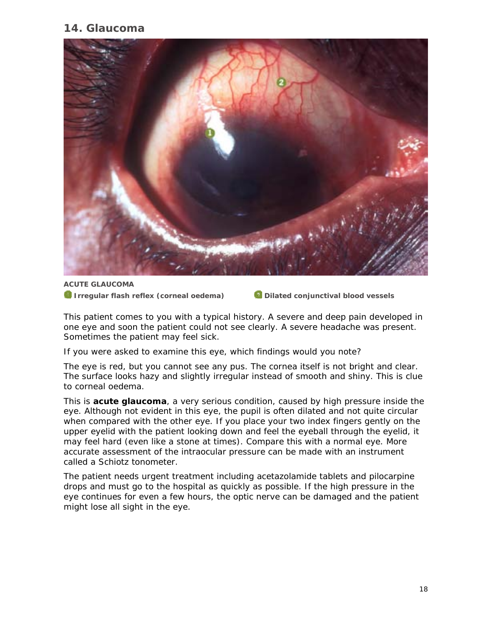## **14. Glaucoma**



**ACUTE GLAUCOMA 1** Irregular flash reflex (corneal oedema) **Dilated conjunctival blood vessels** 

This patient comes to you with a typical history. A severe and deep pain developed in one eye and soon the patient could not see clearly. A severe headache was present. Sometimes the patient may feel sick.

#### *If you were asked to examine this eye, which findings would you note?*

The eye is red, but you cannot see any pus. The cornea itself is not bright and clear. The surface looks hazy and slightly irregular instead of smooth and shiny. This is clue to corneal oedema.

This is **acute glaucoma**, a very serious condition, caused by high pressure inside the eye. Although not evident in this eye, the pupil is often dilated and not quite circular when compared with the other eye. If you place your two index fingers gently on the upper eyelid with the patient looking down and feel the eyeball through the eyelid, it may feel hard (even like a stone at times). Compare this with a normal eye. More accurate assessment of the intraocular pressure can be made with an instrument called a Schiotz tonometer.

The patient needs urgent treatment including acetazolamide tablets and pilocarpine drops and must go to the hospital as quickly as possible. If the high pressure in the eye continues for even a few hours, the optic nerve can be damaged and the patient might lose all sight in the eye.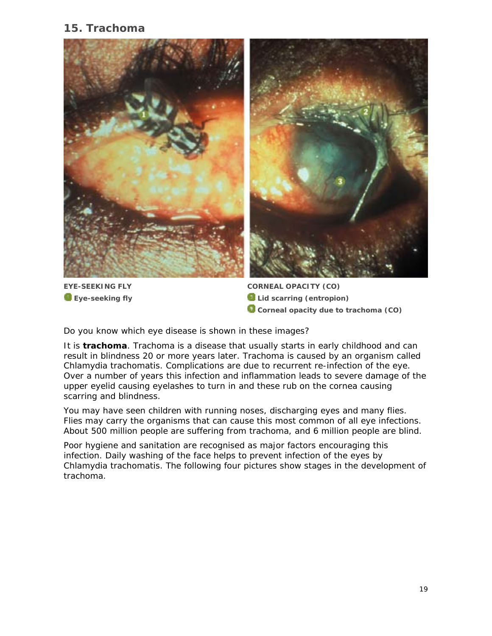## **15. Trachoma**



**Eye-seeking fly** 

**CORNEAL OPACITY (CO) a** Lid scarring (entropion) **Corneal opacity due to trachoma (CO)** 

#### *Do you know which eye disease is shown in these images?*

It is **trachoma**. Trachoma is a disease that usually starts in early childhood and can result in blindness 20 or more years later. Trachoma is caused by an organism called *Chlamydia trachomatis*. Complications are due to recurrent re-infection of the eye. Over a number of years this infection and inflammation leads to severe damage of the upper eyelid causing eyelashes to turn in and these rub on the cornea causing scarring and blindness.

You may have seen children with running noses, discharging eyes and many flies. Flies may carry the organisms that can cause this most common of all eye infections. About 500 million people are suffering from trachoma, and 6 million people are blind.

Poor hygiene and sanitation are recognised as major factors encouraging this infection. Daily washing of the face helps to prevent infection of the eyes by *Chlamydia trachomatis*. The following four pictures show stages in the development of trachoma.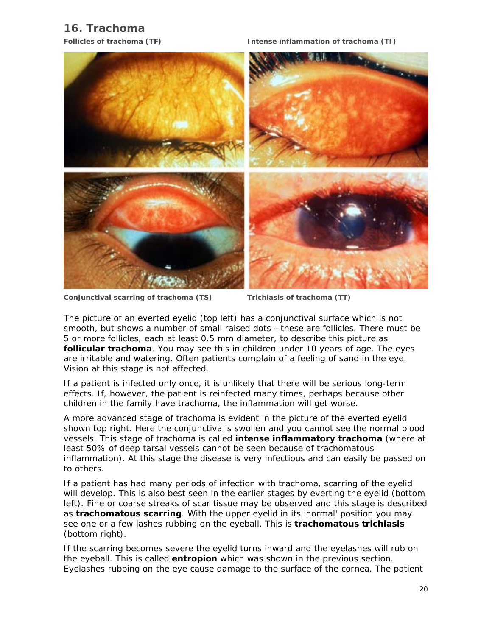## **16. Trachoma**

**Follicles of trachoma (TF) Intense inflammation of trachoma (TI)**



**Conjunctival scarring of trachoma (TS) Trichiasis of trachoma (TT)** 

The picture of an everted eyelid (top left) has a conjunctival surface which is not smooth, but shows a number of small raised dots - these are follicles. There must be 5 or more follicles, each at least 0.5 mm diameter, to describe this picture as **follicular trachoma**. You may see this in children under 10 years of age. The eyes are irritable and watering. Often patients complain of a feeling of sand in the eye. Vision at this stage is not affected.

If a patient is infected only once, it is unlikely that there will be serious long-term effects. If, however, the patient is reinfected many times, perhaps because other children in the family have trachoma, the inflammation will get worse.

A more advanced stage of trachoma is evident in the picture of the everted eyelid shown top right. Here the conjunctiva is swollen and you cannot see the normal blood vessels. This stage of trachoma is called **intense inflammatory trachoma** (where at least 50% of deep tarsal vessels cannot be seen because of trachomatous inflammation). At this stage the disease is very infectious and can easily be passed on to others.

If a patient has had many periods of infection with trachoma, scarring of the eyelid will develop. This is also best seen in the earlier stages by everting the eyelid (bottom left). Fine or coarse streaks of scar tissue may be observed and this stage is described as **trachomatous scarring**. With the upper eyelid in its 'normal' position you may see one or a few lashes rubbing on the eyeball. This is **trachomatous trichiasis**  (bottom right).

If the scarring becomes severe the eyelid turns inward and the eyelashes will rub on the eyeball. This is called **entropion** which was shown in the previous section. Eyelashes rubbing on the eye cause damage to the surface of the cornea. The patient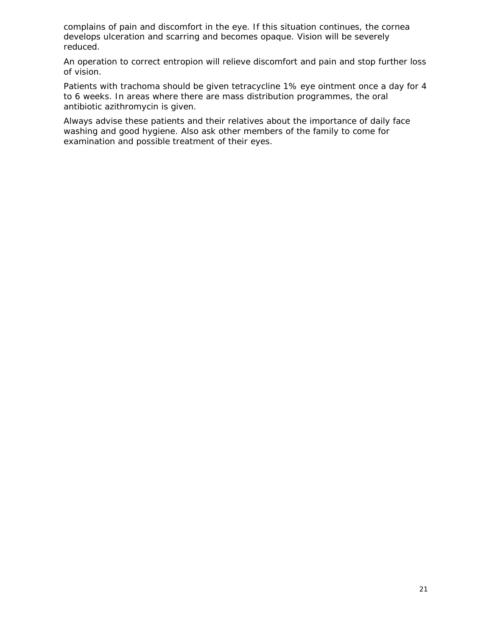complains of pain and discomfort in the eye. If this situation continues, the cornea develops ulceration and scarring and becomes opaque. Vision will be severely reduced.

An operation to correct entropion will relieve discomfort and pain and stop further loss of vision.

Patients with trachoma should be given tetracycline 1% eye ointment once a day for 4 to 6 weeks. In areas where there are mass distribution programmes, the oral antibiotic azithromycin is given.

Always advise these patients and their relatives about the importance of daily face washing and good hygiene. Also ask other members of the family to come for examination and possible treatment of their eyes.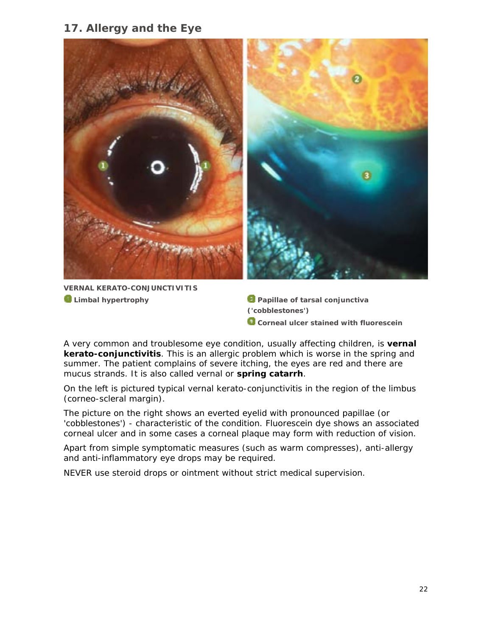## **17. Allergy and the Eye**



**VERNAL KERATO-CONJUNCTIVITIS a** Limbal hypertrophy **Papillae of tarsal conjunctiva Papillae of tarsal conjunctiva** 

**('cobblestones') C** Corneal ulcer stained with fluorescein

A very common and troublesome eye condition, usually affecting children, is **vernal kerato-conjunctivitis**. This is an allergic problem which is worse in the spring and summer. The patient complains of severe itching, the eyes are red and there are mucus strands. It is also called vernal or **spring catarrh**.

On the left is pictured typical vernal kerato-conjunctivitis in the region of the limbus (corneo-scleral margin).

The picture on the right shows an everted eyelid with pronounced papillae (or 'cobblestones') - characteristic of the condition. Fluorescein dye shows an associated corneal ulcer and in some cases a corneal plaque may form with reduction of vision.

Apart from simple symptomatic measures (such as warm compresses), anti-allergy and anti-inflammatory eye drops may be required.

NEVER use steroid drops or ointment without strict medical supervision.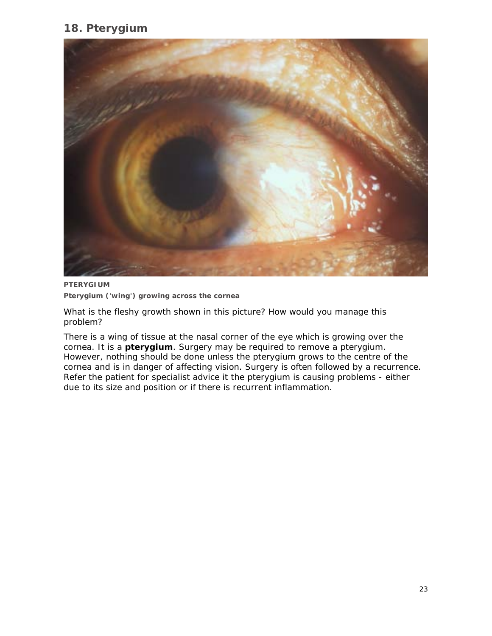## **18. Pterygium**



**PTERYGIUM Pterygium ('wing') growing across the cornea** 

#### *What is the fleshy growth shown in this picture? How would you manage this problem?*

There is a wing of tissue at the nasal corner of the eye which is growing over the cornea. It is a **pterygium**. Surgery may be required to remove a pterygium. However, nothing should be done unless the pterygium grows to the centre of the cornea and is in danger of affecting vision. Surgery is often followed by a recurrence. Refer the patient for specialist advice it the pterygium is causing problems - either due to its size and position or if there is recurrent inflammation.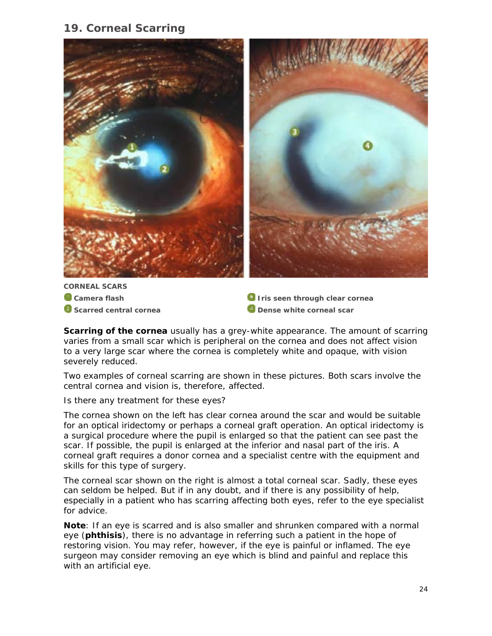## **19. Corneal Scarring**



**CORNEAL SCARS Camera flash a** Scarred central cornea

*<u>I</u>* Iris seen through clear cornea **<sup></sup> Dense white corneal scar** 

**Scarring of the cornea** usually has a grey-white appearance. The amount of scarring varies from a small scar which is peripheral on the cornea and does not affect vision to a very large scar where the cornea is completely white and opaque, with vision severely reduced.

Two examples of corneal scarring are shown in these pictures. Both scars involve the central cornea and vision is, therefore, affected.

#### *Is there any treatment for these eyes?*

The cornea shown on the left has clear cornea around the scar and would be suitable for an optical iridectomy or perhaps a corneal graft operation. An optical iridectomy is a surgical procedure where the pupil is enlarged so that the patient can see past the scar. If possible, the pupil is enlarged at the inferior and nasal part of the iris. A corneal graft requires a donor cornea and a specialist centre with the equipment and skills for this type of surgery.

The corneal scar shown on the right is almost a total corneal scar. Sadly, these eyes can seldom be helped. But if in any doubt, and if there is any possibility of help, especially in a patient who has scarring affecting both eyes, refer to the eye specialist for advice.

**Note**: If an eye is scarred and is also smaller and shrunken compared with a normal eye (**phthisis**), there is no advantage in referring such a patient in the hope of restoring vision. You may refer, however, if the eye is painful or inflamed. The eye surgeon may consider removing an eye which is blind and painful and replace this with an artificial eye.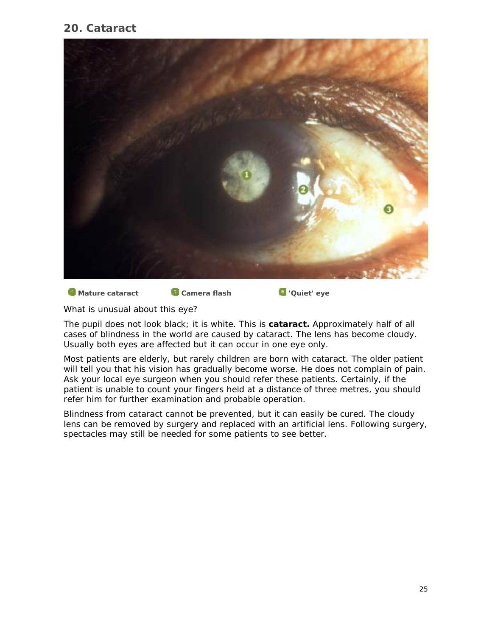## **20. Cataract**



**Mature cataract Camera flash Camera Figure 1** 'Quiet' eye

#### *What is unusual about this eye?*

The pupil does not look black; it is white. This is **cataract.** Approximately half of all cases of blindness in the world are caused by cataract. The lens has become cloudy. Usually both eyes are affected but it can occur in one eye only.

Most patients are elderly, but rarely children are born with cataract. The older patient will tell you that his vision has gradually become worse. He does not complain of pain. Ask your local eye surgeon when you should refer these patients. Certainly, if the patient is unable to count your fingers held at a distance of three metres, you should refer him for further examination and probable operation.

Blindness from cataract cannot be prevented, but it can easily be cured. The cloudy lens can be removed by surgery and replaced with an artificial lens. Following surgery, spectacles may still be needed for some patients to see better.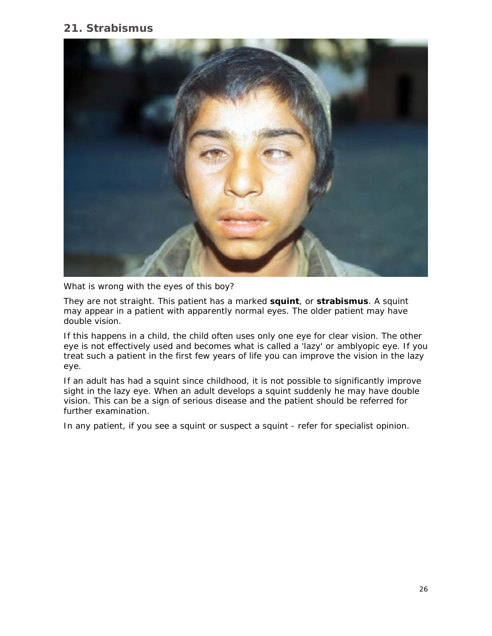## **21. Strabismus**



*What is wrong with the eyes of this boy?* 

They are not straight. This patient has a marked **squint**, or **strabismus**. A squint may appear in a patient with apparently normal eyes. The older patient may have double vision.

If this happens in a child, the child often uses only one eye for clear vision. The other eye is not effectively used and becomes what is called a 'lazy' or amblyopic eye. If you treat such a patient in the first few years of life you can improve the vision in the lazy eye.

If an adult has had a squint since childhood, it is not possible to significantly improve sight in the lazy eye. When an adult develops a squint suddenly he may have double vision. This can be a sign of serious disease and the patient should be referred for further examination.

In any patient, if you see a squint or suspect a squint - refer for specialist opinion.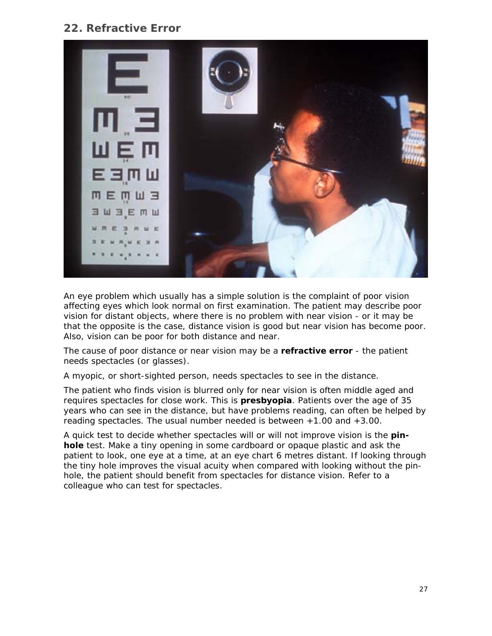## **22. Refractive Error**



An eye problem which usually has a simple solution is the complaint of poor vision affecting eyes which look normal on first examination. The patient may describe poor vision for distant objects, where there is no problem with near vision - or it may be that the opposite is the case, distance vision is good but near vision has become poor. Also, vision can be poor for both distance and near.

The cause of poor distance or near vision may be a **refractive error** - the patient needs spectacles (or glasses).

A myopic, or short-sighted person, needs spectacles to see in the distance.

The patient who finds vision is blurred only for near vision is often middle aged and requires spectacles for close work. This is **presbyopia**. Patients over the age of 35 years who can see in the distance, but have problems reading, can often be helped by reading spectacles. The usual number needed is between +1.00 and +3.00.

A quick test to decide whether spectacles will or will not improve vision is the **pinhole** test. Make a tiny opening in some cardboard or opaque plastic and ask the patient to look, one eye at a time, at an eye chart 6 metres distant. If looking through the tiny hole improves the visual acuity when compared with looking without the pinhole, the patient should benefit from spectacles for distance vision. Refer to a colleague who can test for spectacles.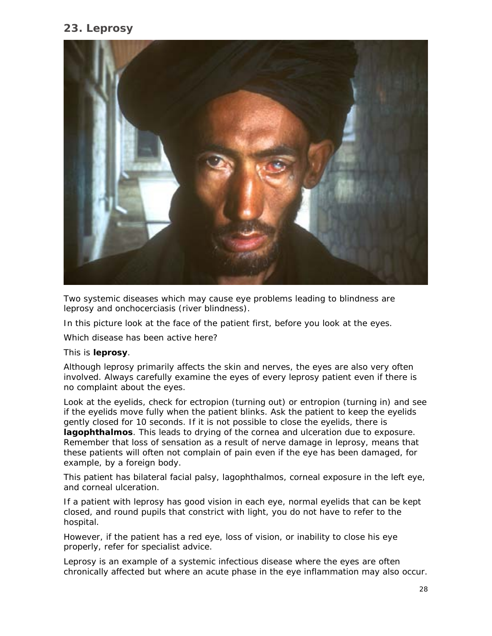## **23. Leprosy**



Two systemic diseases which may cause eye problems leading to blindness are leprosy and onchocerciasis (river blindness).

In this picture look at the face of the patient first, before you look at the eyes.

*Which disease has been active here?* 

#### This is **leprosy**.

Although leprosy primarily affects the skin and nerves, the eyes are also very often involved. Always carefully examine the eyes of every leprosy patient even if there is no complaint about the eyes.

Look at the eyelids, check for ectropion (turning out) or entropion (turning in) and see if the eyelids move fully when the patient blinks. Ask the patient to keep the eyelids gently closed for 10 seconds. If it is not possible to close the eyelids, there is **lagophthalmos**. This leads to drying of the cornea and ulceration due to exposure. Remember that loss of sensation as a result of nerve damage in leprosy, means that these patients will often not complain of pain even if the eye has been damaged, for example, by a foreign body.

This patient has bilateral facial palsy, lagophthalmos, corneal exposure in the left eye, and corneal ulceration.

If a patient with leprosy has good vision in each eye, normal eyelids that can be kept closed, and round pupils that constrict with light, you do not have to refer to the hospital.

However, if the patient has a red eye, loss of vision, or inability to close his eye properly, refer for specialist advice.

Leprosy is an example of a systemic infectious disease where the eyes are often chronically affected but where an acute phase in the eye inflammation may also occur.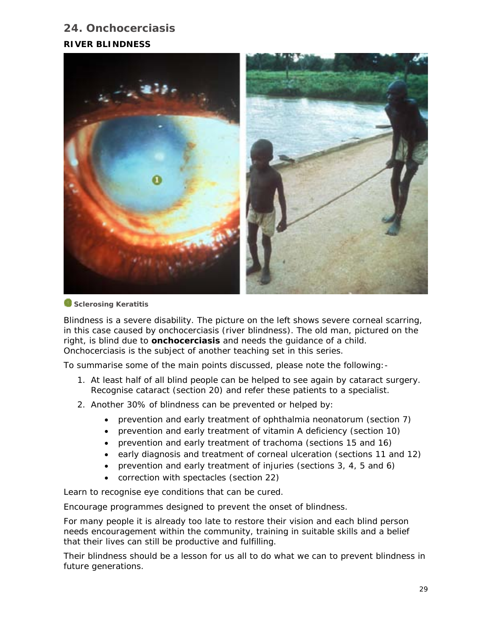## **24. Onchocerciasis RIVER BLINDNESS**



#### *Sclerosing Keratitis*

Blindness is a severe disability. The picture on the left shows severe corneal scarring, in this case caused by onchocerciasis (river blindness). The old man, pictured on the right, is blind due to **onchocerciasis** and needs the guidance of a child. Onchocerciasis is the subject of another teaching set in this series.

To summarise some of the main points discussed, please note the following:-

- 1. At least half of all blind people can be helped to see again by cataract surgery. Recognise cataract (section 20) and refer these patients to a specialist.
- 2. Another 30% of blindness can be prevented or helped by:
	- prevention and early treatment of ophthalmia neonatorum (section 7)
	- prevention and early treatment of vitamin A deficiency (section 10)
	- prevention and early treatment of trachoma (sections 15 and 16)
	- early diagnosis and treatment of corneal ulceration (sections 11 and 12)
	- prevention and early treatment of injuries (sections 3, 4, 5 and 6)
	- correction with spectacles (section 22)

Learn to recognise eye conditions that can be cured.

Encourage programmes designed to prevent the onset of blindness.

For many people it is already too late to restore their vision and each blind person needs encouragement within the community, training in suitable skills and a belief that their lives can still be productive and fulfilling.

Their blindness should be a lesson for us all to do what we can to prevent blindness in future generations.